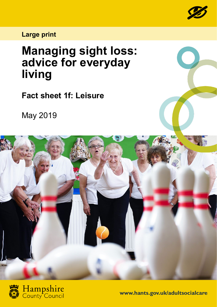

**Large print**

# **Managing sight loss: advice for everyday living**

**Fact sheet 1f: Leisure**

May 2019





**www.hants.gov.uk/adultsocialcare**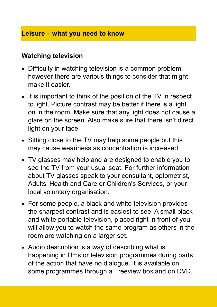#### **Leisure – what you need to know**

#### **Watching television**

- Difficulty in watching television is a common problem, however there are various things to consider that might make it easier.
- It is important to think of the position of the TV in respect to light. Picture contrast may be better if there is a light on in the room. Make sure that any light does not cause a glare on the screen. Also make sure that there isn't direct light on your face.
- Sitting close to the TV may help some people but this may cause weariness as concentration is increased.
- TV glasses may help and are designed to enable you to see the TV from your usual seat. For further information about TV glasses speak to your consultant, optometrist, Adults' Health and Care or Children's Services, or your local voluntary organisation.
- For some people, a black and white television provides the sharpest contrast and is easiest to see. A small black and white portable television, placed right in front of you, will allow you to watch the same program as others in the room are watching on a larger set.
- Audio description is a way of describing what is happening in films or television programmes during parts of the action that have no dialogue. It is available on some programmes through a Freeview box and on DVD,